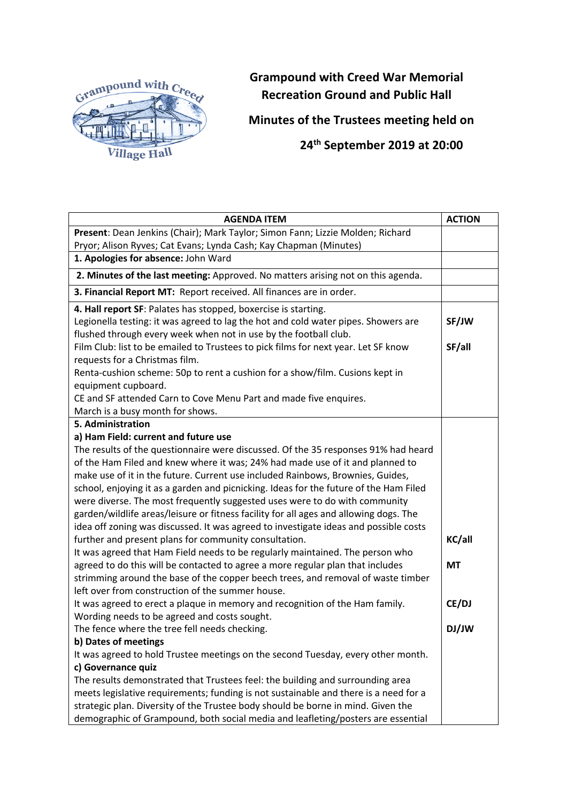

**Grampound with Creed War Memorial Recreation Ground and Public Hall**

**Minutes of the Trustees meeting held on**

 **24th September 2019 at 20:00**

| <b>AGENDA ITEM</b>                                                                                                                                                  | <b>ACTION</b> |
|---------------------------------------------------------------------------------------------------------------------------------------------------------------------|---------------|
| Present: Dean Jenkins (Chair); Mark Taylor; Simon Fann; Lizzie Molden; Richard                                                                                      |               |
| Pryor; Alison Ryves; Cat Evans; Lynda Cash; Kay Chapman (Minutes)                                                                                                   |               |
| 1. Apologies for absence: John Ward                                                                                                                                 |               |
| 2. Minutes of the last meeting: Approved. No matters arising not on this agenda.                                                                                    |               |
| 3. Financial Report MT: Report received. All finances are in order.                                                                                                 |               |
| 4. Hall report SF: Palates has stopped, boxercise is starting.                                                                                                      |               |
| Legionella testing: it was agreed to lag the hot and cold water pipes. Showers are                                                                                  | SF/JW         |
| flushed through every week when not in use by the football club.                                                                                                    |               |
| Film Club: list to be emailed to Trustees to pick films for next year. Let SF know                                                                                  | SF/all        |
| requests for a Christmas film.                                                                                                                                      |               |
| Renta-cushion scheme: 50p to rent a cushion for a show/film. Cusions kept in                                                                                        |               |
| equipment cupboard.                                                                                                                                                 |               |
| CE and SF attended Carn to Cove Menu Part and made five enquires.                                                                                                   |               |
| March is a busy month for shows.                                                                                                                                    |               |
| 5. Administration                                                                                                                                                   |               |
| a) Ham Field: current and future use                                                                                                                                |               |
| The results of the questionnaire were discussed. Of the 35 responses 91% had heard                                                                                  |               |
| of the Ham Filed and knew where it was; 24% had made use of it and planned to                                                                                       |               |
| make use of it in the future. Current use included Rainbows, Brownies, Guides,                                                                                      |               |
| school, enjoying it as a garden and picnicking. Ideas for the future of the Ham Filed                                                                               |               |
| were diverse. The most frequently suggested uses were to do with community<br>garden/wildlife areas/leisure or fitness facility for all ages and allowing dogs. The |               |
| idea off zoning was discussed. It was agreed to investigate ideas and possible costs                                                                                |               |
| further and present plans for community consultation.                                                                                                               | KC/all        |
| It was agreed that Ham Field needs to be regularly maintained. The person who                                                                                       |               |
| agreed to do this will be contacted to agree a more regular plan that includes                                                                                      | <b>MT</b>     |
| strimming around the base of the copper beech trees, and removal of waste timber                                                                                    |               |
| left over from construction of the summer house.                                                                                                                    |               |
| It was agreed to erect a plaque in memory and recognition of the Ham family.                                                                                        | CE/DJ         |
| Wording needs to be agreed and costs sought.                                                                                                                        |               |
| The fence where the tree fell needs checking.                                                                                                                       | DJ/JW         |
| b) Dates of meetings                                                                                                                                                |               |
| It was agreed to hold Trustee meetings on the second Tuesday, every other month.                                                                                    |               |
| c) Governance quiz                                                                                                                                                  |               |
| The results demonstrated that Trustees feel: the building and surrounding area                                                                                      |               |
| meets legislative requirements; funding is not sustainable and there is a need for a                                                                                |               |
| strategic plan. Diversity of the Trustee body should be borne in mind. Given the                                                                                    |               |
| demographic of Grampound, both social media and leafleting/posters are essential                                                                                    |               |